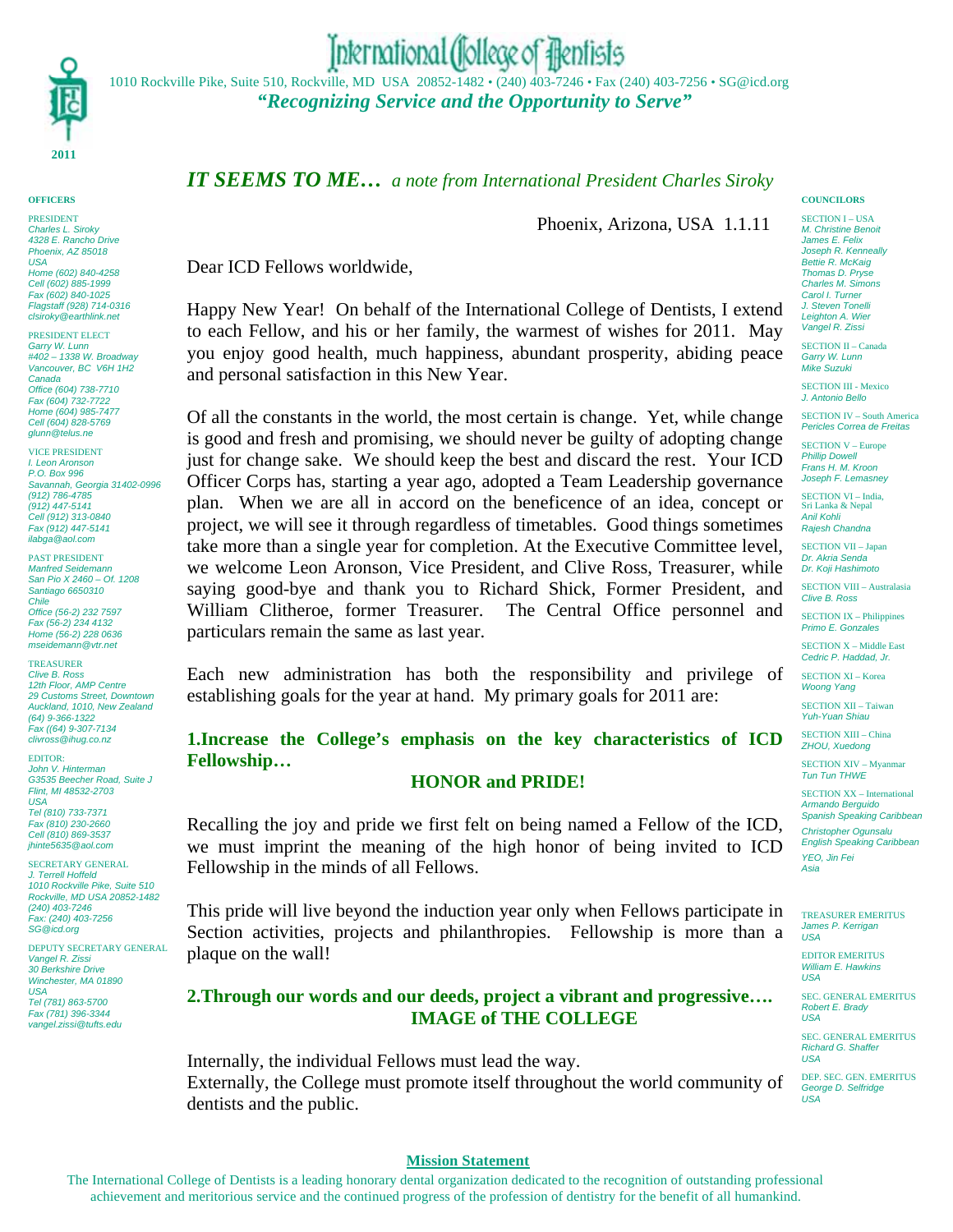

**OFFICERS** PRESIDENT *Charles L. Siroky 4328 E. Rancho Drive Phoenix, AZ 85018 USA Home (602) 840-4258 Cell (602) 885-1999 Fax (602) 840-1025 Flagstaff (928) 714-0316 clsiroky@earthlink.net*

PRESIDENT ELECT *Garry W. Lunn #402 – 1338 W. Broadway Vancouver, BC V6H 1H2 Canada Office (604) 738-7710 Fax (604) 732-7722 Home (604) 985-7477 Cell (604) 828-5769 glunn@telus.ne*

VICE PRESIDENT *I. Leon Aronson P.O. Box 996 Savannah, Georgia 31402-0996 (912) 786-4785 (912) 447-5141 Cell (912) 313-0840 Fax (912) 447-5141 ilabga@aol.com*

PAST PRESIDENT *Manfred Seidemann San Pio X 2460 – Of. 1208 Santiago 6650310 Chile Office (56-2) 232 7597 Fax (56-2) 234 4132 Home (56-2) 228 0636 mseidemann@vtr.net*

**TREASURER** *Clive B. Ross*

*12th Floor, AMP Centre 29 Customs Street, Downtown Auckland, 1010, New Zealand (64) 9-366-1322 Fax ((64) 9-307-7134 clivross@ihug.co.nz*

EDITOR: *John V. Hinterman G3535 Beecher Road, Suite J Flint, MI 48532-2703 USA Tel (810) 733-7371 Fax (810) 230-2660*

*Cell (810) 869-3537 jhinte5635@aol.com* SECRETARY GENERAL

*J. Terrell Hoffeld 1010 Rockville Pike, Suite 510 Rockville, MD USA 20852-1482 (240) 403-7246 Fax: (240) 403-7256 SG@icd.org*

DEPUTY SECRETARY GENERAL *Vangel R. Zissi 30 Berkshire Drive Winchester, MA 01890 USA Tel (781) 863-5700 Fax (781) 396-3344 vangel.zissi@tufts.edu*

# International (follege of flentists

1010 Rockville Pike, Suite 510, Rockville, MD USA 20852-1482 • (240) 403-7246 • Fax (240) 403-7256 • SG@icd.org *"Recognizing Service and the Opportunity to Serve"*

# *IT SEEMS TO ME… a note from International President Charles Siroky*

Phoenix, Arizona, USA 1.1.11

Dear ICD Fellows worldwide,

Happy New Year! On behalf of the International College of Dentists, I extend to each Fellow, and his or her family, the warmest of wishes for 2011. May you enjoy good health, much happiness, abundant prosperity, abiding peace and personal satisfaction in this New Year.

Of all the constants in the world, the most certain is change. Yet, while change is good and fresh and promising, we should never be guilty of adopting change just for change sake. We should keep the best and discard the rest. Your ICD Officer Corps has, starting a year ago, adopted a Team Leadership governance plan. When we are all in accord on the beneficence of an idea, concept or project, we will see it through regardless of timetables. Good things sometimes take more than a single year for completion. At the Executive Committee level, we welcome Leon Aronson, Vice President, and Clive Ross, Treasurer, while saying good-bye and thank you to Richard Shick, Former President, and William Clitheroe, former Treasurer. The Central Office personnel and particulars remain the same as last year.

Each new administration has both the responsibility and privilege of establishing goals for the year at hand. My primary goals for 2011 are:

# **1.Increase the College's emphasis on the key characteristics of ICD Fellowship…**

## **HONOR and PRIDE!**

Recalling the joy and pride we first felt on being named a Fellow of the ICD, we must imprint the meaning of the high honor of being invited to ICD Fellowship in the minds of all Fellows.

This pride will live beyond the induction year only when Fellows participate in Section activities, projects and philanthropies. Fellowship is more than a plaque on the wall!

# **2.Through our words and our deeds, project a vibrant and progressive…. IMAGE of THE COLLEGE**

Internally, the individual Fellows must lead the way. Externally, the College must promote itself throughout the world community of dentists and the public.

#### **COUNCILORS**

SECTION I – USA *M. Christine Benoit James E. Felix Joseph R. Kenneally Bettie R. McKaig Thomas D. Pryse Charles M. Simons Carol I. Turner J. Steven Tonelli Leighton A. Wier Vangel R. Zissi*

SECTION II – Canada *Garry W. Lunn Mike Suzuki*

SECTION III - Mexico *J. Antonio Bello*

SECTION IV – South America *Pericles Correa de Freitas*

SECTION V – Europe *Phillip Dowell Frans H. M. Kroon Joseph F. Lemasney*

SECTION VI – India, Sri Lanka & Nepal *Anil Kohli Rajesh Chandna*

SECTION VII – Japan *Dr. Akria Senda Dr. Koji Hashimoto*

SECTION VIII – Australasia *Clive B. Ross*

SECTION IX – Philippines *Primo E. Gonzales*

SECTION X – Middle East *Cedric P. Haddad, Jr.*

SECTION XI – Korea *Woong Yang*

SECTION XII – Taiwan *Yuh-Yuan Shiau*

SECTION XIII – China *ZHOU, Xuedong*

SECTION XIV – Myanmar *Tun Tun THWE*

SECTION XX – International *Armando Berguido Spanish Speaking Caribbean Christopher Ogunsalu English Speaking Caribbean YEO, Jin Fei Asia*

TREASURER EMERITUS *James P. Kerrigan USA*

EDITOR EMERITUS *William E. Hawkins USA*

SEC. GENERAL EMERITUS *Robert E. Brady USA*

SEC. GENERAL EMERITUS *Richard G. Shaffer USA*

DEP. SEC. GEN. EMERITUS *George D. Selfridge USA*

#### **Mission Statement**